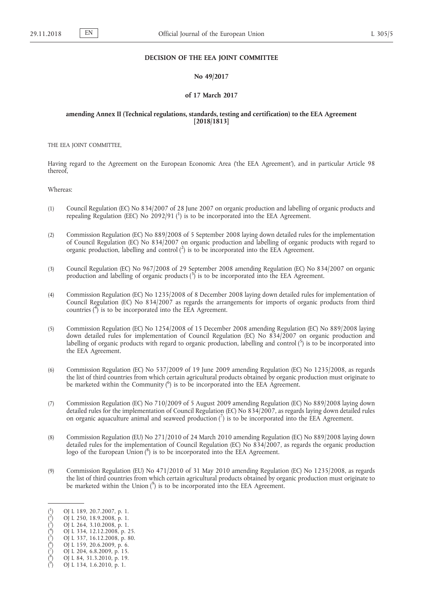## **DECISION OF THE EEA JOINT COMMITTEE**

## **No 49/2017**

#### **of 17 March 2017**

# **amending Annex II (Technical regulations, standards, testing and certification) to the EEA Agreement [2018/1813]**

THE EEA JOINT COMMITTEE,

Having regard to the Agreement on the European Economic Area ('the EEA Agreement'), and in particular Article 98 thereof,

Whereas:

- (1) Council Regulation (EC) No 834/2007 of 28 June 2007 on organic production and labelling of organic products and repealing Regulation (EEC) No 2092/91 (1) is to be incorporated into the EEA Agreement.
- (2) Commission Regulation (EC) No 889/2008 of 5 September 2008 laying down detailed rules for the implementation of Council Regulation (EC) No 834/2007 on organic production and labelling of organic products with regard to organic production, labelling and control  $(2)$  is to be incorporated into the EEA Agreement.
- (3) Council Regulation (EC) No 967/2008 of 29 September 2008 amending Regulation (EC) No 834/2007 on organic production and labelling of organic products  $\binom{3}{1}$  is to be incorporated into the EEA Agreement.
- (4) Commission Regulation (EC) No 1235/2008 of 8 December 2008 laying down detailed rules for implementation of Council Regulation (EC) No 834/2007 as regards the arrangements for imports of organic products from third countries  $\binom{4}{1}$  is to be incorporated into the EEA Agreement.
- (5) Commission Regulation (EC) No 1254/2008 of 15 December 2008 amending Regulation (EC) No 889/2008 laying down detailed rules for implementation of Council Regulation (EC) No 834/2007 on organic production and labelling of organic products with regard to organic production, labelling and control  $(5)$  is to be incorporated into the EEA Agreement.
- (6) Commission Regulation (EC) No 537/2009 of 19 June 2009 amending Regulation (EC) No 1235/2008, as regards the list of third countries from which certain agricultural products obtained by organic production must originate to be marketed within the Community (<sup>6</sup>) is to be incorporated into the EEA Agreement.
- (7) Commission Regulation (EC) No 710/2009 of 5 August 2009 amending Regulation (EC) No 889/2008 laying down detailed rules for the implementation of Council Regulation (EC) No 834/2007, as regards laying down detailed rules on organic aquaculture animal and seaweed production  $\binom{7}{1}$  is to be incorporated into the EEA Agreement.
- (8) Commission Regulation (EU) No 271/2010 of 24 March 2010 amending Regulation (EC) No 889/2008 laying down detailed rules for the implementation of Council Regulation (EC) No 834/2007, as regards the organic production logo of the European Union (8) is to be incorporated into the EEA Agreement.
- (9) Commission Regulation (EU) No 471/2010 of 31 May 2010 amending Regulation (EC) No 1235/2008, as regards the list of third countries from which certain agricultural products obtained by organic production must originate to be marketed within the Union  $\binom{9}{2}$  is to be incorporated into the EEA Agreement.

 $\binom{1}{1}$ ) OJ L 189, 20.7.2007, p. 1.

 $\hat{C}$ ) OJ L 250, 18.9.2008, p. 1.

 $\ddot{(^3}$ ) OJ L 264, 3.10.2008, p. 1.

 $\dot{(^4}$ ) OJ L 334, 12.12.2008, p. 25.  $\zeta^5$ 

<sup>)</sup> OJ L 337, 16.12.2008, p. 80.  $\zeta^6$ ) OJ L 159, 20.6.2009, p. 6.

<sup>(</sup> 7 ) OJ L 204, 6.8.2009, p. 15.

 $\zeta^8$ ) OJ L 84, 31.3.2010, p. 19.

 $(9)$ ) OJ L 134, 1.6.2010, p. 1.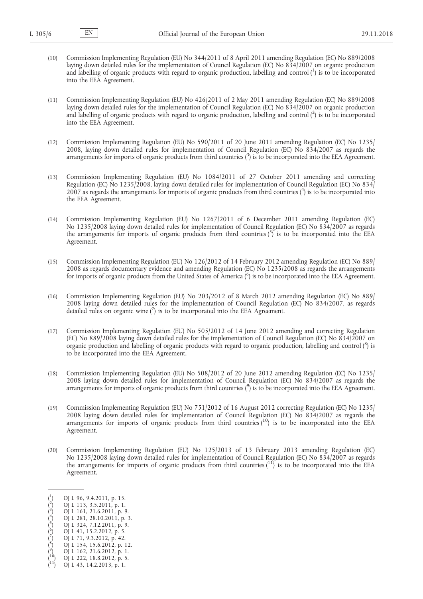- (10) Commission Implementing Regulation (EU) No 344/2011 of 8 April 2011 amending Regulation (EC) No 889/2008 laying down detailed rules for the implementation of Council Regulation (EC) No 834/2007 on organic production and labelling of organic products with regard to organic production, labelling and control  $(^1)$  is to be incorporated into the EEA Agreement.
- (11) Commission Implementing Regulation (EU) No 426/2011 of 2 May 2011 amending Regulation (EC) No 889/2008 laying down detailed rules for the implementation of Council Regulation (EC) No 834/2007 on organic production and labelling of organic products with regard to organic production, labelling and control  $(^2)$  is to be incorporated into the EEA Agreement.
- (12) Commission Implementing Regulation (EU) No 590/2011 of 20 June 2011 amending Regulation (EC) No 1235/ 2008, laying down detailed rules for implementation of Council Regulation (EC) No 834/2007 as regards the arrangements for imports of organic products from third countries (3) is to be incorporated into the EEA Agreement.
- (13) Commission Implementing Regulation (EU) No 1084/2011 of 27 October 2011 amending and correcting Regulation (EC) No 1235/2008, laying down detailed rules for implementation of Council Regulation (EC) No 834/ 2007 as regards the arrangements for imports of organic products from third countries (<sup>4</sup>) is to be incorporated into the EEA Agreement.
- (14) Commission Implementing Regulation (EU) No 1267/2011 of 6 December 2011 amending Regulation (EC) No 1235/2008 laying down detailed rules for implementation of Council Regulation (EC) No 834/2007 as regards the arrangements for imports of organic products from third countries  $\binom{5}{1}$  is to be incorporated into the EEA Agreement.
- (15) Commission Implementing Regulation (EU) No 126/2012 of 14 February 2012 amending Regulation (EC) No 889/ 2008 as regards documentary evidence and amending Regulation (EC) No 1235/2008 as regards the arrangements for imports of organic products from the United States of America (<sup>6</sup>) is to be incorporated into the EEA Agreement.
- (16) Commission Implementing Regulation (EU) No 203/2012 of 8 March 2012 amending Regulation (EC) No 889/ 2008 laying down detailed rules for the implementation of Council Regulation (EC) No 834/2007, as regards detailed rules on organic wine  $\binom{7}{1}$  is to be incorporated into the EEA Agreement.
- (17) Commission Implementing Regulation (EU) No 505/2012 of 14 June 2012 amending and correcting Regulation (EC) No 889/2008 laying down detailed rules for the implementation of Council Regulation (EC) No 834/2007 on organic production and labelling of organic products with regard to organic production, labelling and control ( 8 ) is to be incorporated into the EEA Agreement.
- (18) Commission Implementing Regulation (EU) No 508/2012 of 20 June 2012 amending Regulation (EC) No 1235/ 2008 laying down detailed rules for implementation of Council Regulation (EC) No 834/2007 as regards the arrangements for imports of organic products from third countries (<sup>9</sup>) is to be incorporated into the EEA Agreement.
- (19) Commission Implementing Regulation (EU) No 751/2012 of 16 August 2012 correcting Regulation (EC) No 1235/ 2008 laying down detailed rules for implementation of Council Regulation (EC) No 834/2007 as regards the arrangements for imports of organic products from third countries  $(10)$  is to be incorporated into the EEA Agreement.
- (20) Commission Implementing Regulation (EU) No 125/2013 of 13 February 2013 amending Regulation (EC) No 1235/2008 laying down detailed rules for implementation of Council Regulation (EC) No 834/2007 as regards the arrangements for imports of organic products from third countries  $(^{11})$  is to be incorporated into the EEA Agreement.

 $\bigl( \frac{6}{5} \bigr)$ ) OJ L 41, 15.2.2012, p. 5.

- $\zeta^8$ ) OJ L 154, 15.6.2012, p. 12.
- $(9)$ ) OJ L 162, 21.6.2012, p. 1.

<sup>(</sup> 1 ) OJ L 96, 9.4.2011, p. 15.

 $\zeta^2$ ) OJ L 113, 3.5.2011, p. 1.

 $\binom{3}{2}$ ) OJ L 161, 21.6.2011, p. 9.  $\hat{(^4}$ 

<sup>)</sup> OJ L 281, 28.10.2011, p. 3.  $\zeta^5$ ) OJ L 324, 7.12.2011, p. 9.

<sup>(</sup> 7 ) OJ L 71, 9.3.2012, p. 42.

<sup>(</sup> 10) OJ L 222, 18.8.2012, p. 5.

<sup>(</sup> OJ L 43, 14.2.2013, p. 1.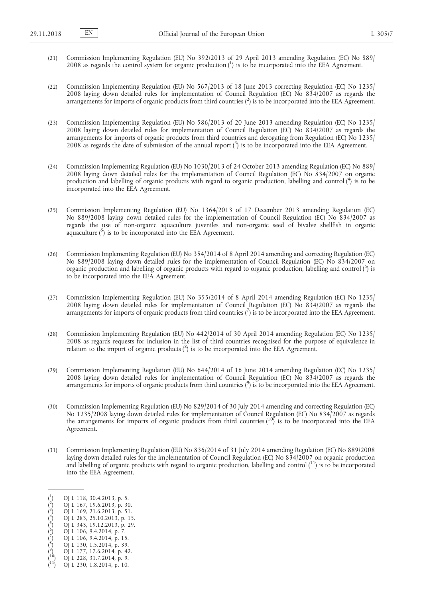- (21) Commission Implementing Regulation (EU) No 392/2013 of 29 April 2013 amending Regulation (EC) No 889/ 2008 as regards the control system for organic production (1) is to be incorporated into the EEA Agreement.
- (22) Commission Implementing Regulation (EU) No 567/2013 of 18 June 2013 correcting Regulation (EC) No 1235/ 2008 laying down detailed rules for implementation of Council Regulation (EC) No 834/2007 as regards the arrangements for imports of organic products from third countries (<sup>2</sup>) is to be incorporated into the EEA Agreement.
- (23) Commission Implementing Regulation (EU) No 586/2013 of 20 June 2013 amending Regulation (EC) No 1235/ 2008 laying down detailed rules for implementation of Council Regulation (EC) No 834/2007 as regards the arrangements for imports of organic products from third countries and derogating from Regulation (EC) No 1235/ 2008 as regards the date of submission of the annual report  $\binom{3}{2}$  is to be incorporated into the EEA Agreement.
- (24) Commission Implementing Regulation (EU) No 1030/2013 of 24 October 2013 amending Regulation (EC) No 889/ 2008 laying down detailed rules for the implementation of Council Regulation (EC) No 834/2007 on organic production and labelling of organic products with regard to organic production, labelling and control (<sup>4</sup>) is to be incorporated into the EEA Agreement.
- (25) Commission Implementing Regulation (EU) No 1364/2013 of 17 December 2013 amending Regulation (EC) No 889/2008 laying down detailed rules for the implementation of Council Regulation (EC) No 834/2007 as regards the use of non-organic aquaculture juveniles and non-organic seed of bivalve shellfish in organic aquaculture  $\binom{5}{1}$  is to be incorporated into the EEA Agreement.
- (26) Commission Implementing Regulation (EU) No 354/2014 of 8 April 2014 amending and correcting Regulation (EC) No 889/2008 laying down detailed rules for the implementation of Council Regulation (EC) No 834/2007 on organic production and labelling of organic products with regard to organic production, labelling and control (<sup>6</sup>) is to be incorporated into the EEA Agreement.
- (27) Commission Implementing Regulation (EU) No 355/2014 of 8 April 2014 amending Regulation (EC) No 1235/ 2008 laying down detailed rules for implementation of Council Regulation (EC) No 834/2007 as regards the arrangements for imports of organic products from third countries (7) is to be incorporated into the EEA Agreement.
- (28) Commission Implementing Regulation (EU) No 442/2014 of 30 April 2014 amending Regulation (EC) No 1235/ 2008 as regards requests for inclusion in the list of third countries recognised for the purpose of equivalence in relation to the import of organic products (<sup>8</sup>) is to be incorporated into the EEA Agreement.
- (29) Commission Implementing Regulation (EU) No 644/2014 of 16 June 2014 amending Regulation (EC) No 1235/ 2008 laying down detailed rules for implementation of Council Regulation (EC) No 834/2007 as regards the arrangements for imports of organic products from third countries (<sup>9</sup>) is to be incorporated into the EEA Agreement.
- (30) Commission Implementing Regulation (EU) No 829/2014 of 30 July 2014 amending and correcting Regulation (EC) No 1235/2008 laying down detailed rules for implementation of Council Regulation (EC) No 834/2007 as regards the arrangements for imports of organic products from third countries  $(10)$  is to be incorporated into the EEA Agreement.
- (31) Commission Implementing Regulation (EU) No 836/2014 of 31 July 2014 amending Regulation (EC) No 889/2008 laying down detailed rules for the implementation of Council Regulation (EC) No 834/2007 on organic production and labelling of organic products with regard to organic production, labelling and control  $(^{11})$  is to be incorporated into the EEA Agreement.

( 6 ) OJ L 106, 9.4.2014, p. 7.

- ( 8 ) OJ L 130, 1.5.2014, p. 39.
- ( 9 ) OJ L 177, 17.6.2014, p. 42.
- ( 10) OJ L 228, 31.7.2014, p. 9.

<sup>(</sup> 1 ) OJ L 118, 30.4.2013, p. 5. 2

<sup>(</sup> ) OJ L 167, 19.6.2013, p. 30. 3

<sup>(</sup> ) OJ L 169, 21.6.2013, p. 51. ( 4 ) OJ L 283, 25.10.2013, p. 15.

<sup>(</sup> 5 ) OJ L 343, 19.12.2013, p. 29.

<sup>(</sup> 7 ) OJ L 106, 9.4.2014, p. 15.

<sup>(</sup> OJ L 230, 1.8.2014, p. 10.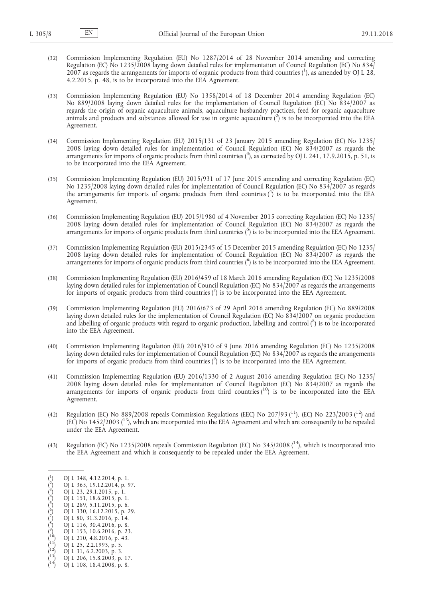- (32) Commission Implementing Regulation (EU) No 1287/2014 of 28 November 2014 amending and correcting Regulation (EC) No 1235/2008 laying down detailed rules for implementation of Council Regulation (EC) No 834/ 2007 as regards the arrangements for imports of organic products from third countries  $(^1)$ , as amended by OJ L 28, 4.2.2015, p. 48, is to be incorporated into the EEA Agreement.
- (33) Commission Implementing Regulation (EU) No 1358/2014 of 18 December 2014 amending Regulation (EC) No 889/2008 laying down detailed rules for the implementation of Council Regulation (EC) No 834/2007 as regards the origin of organic aquaculture animals, aquaculture husbandry practices, feed for organic aquaculture animals and products and substances allowed for use in organic aquaculture  $(2)$  is to be incorporated into the EEA Agreement.
- (34) Commission Implementing Regulation (EU) 2015/131 of 23 January 2015 amending Regulation (EC) No 1235/ 2008 laying down detailed rules for implementation of Council Regulation (EC) No 834/2007 as regards the arrangements for imports of organic products from third countries (3), as corrected by OJ L 241, 17.9.2015, p. 51, is to be incorporated into the EEA Agreement.
- (35) Commission Implementing Regulation (EU) 2015/931 of 17 June 2015 amending and correcting Regulation (EC) No 1235/2008 laying down detailed rules for implementation of Council Regulation (EC) No 834/2007 as regards the arrangements for imports of organic products from third countries  $\binom{4}{1}$  is to be incorporated into the EEA Agreement.
- (36) Commission Implementing Regulation (EU) 2015/1980 of 4 November 2015 correcting Regulation (EC) No 1235/ 2008 laying down detailed rules for implementation of Council Regulation (EC) No 834/2007 as regards the arrangements for imports of organic products from third countries  $\binom{5}{1}$  is to be incorporated into the EEA Agreement.
- (37) Commission Implementing Regulation (EU) 2015/2345 of 15 December 2015 amending Regulation (EC) No 1235/ 2008 laying down detailed rules for implementation of Council Regulation (EC) No 834/2007 as regards the arrangements for imports of organic products from third countries (<sup>6</sup>) is to be incorporated into the EEA Agreement.
- (38) Commission Implementing Regulation (EU) 2016/459 of 18 March 2016 amending Regulation (EC) No 1235/2008 laying down detailed rules for implementation of Council Regulation (EC) No 834/2007 as regards the arrangements for imports of organic products from third countries  $\binom{7}{1}$  is to be incorporated into the EEA Agreement.
- (39) Commission Implementing Regulation (EU) 2016/673 of 29 April 2016 amending Regulation (EC) No 889/2008 laying down detailed rules for the implementation of Council Regulation (EC) No 834/2007 on organic production and labelling of organic products with regard to organic production, labelling and control  $(^8)$  is to be incorporated into the EEA Agreement.
- (40) Commission Implementing Regulation (EU) 2016/910 of 9 June 2016 amending Regulation (EC) No 1235/2008 laying down detailed rules for implementation of Council Regulation (EC) No 834/2007 as regards the arrangements for imports of organic products from third countries (<sup>9</sup>) is to be incorporated into the EEA Agreement.
- (41) Commission Implementing Regulation (EU) 2016/1330 of 2 August 2016 amending Regulation (EC) No 1235/ 2008 laying down detailed rules for implementation of Council Regulation (EC) No 834/2007 as regards the arrangements for imports of organic products from third countries  $(10)$  is to be incorporated into the EEA Agreement.
- (42) Regulation (EC) No 889/2008 repeals Commission Regulations (EEC) No 207/93 ( $^{11}$ ), (EC) No 223/2003 ( $^{12}$ ) and (EC) No  $1452/2003$  ( $13$ ), which are incorporated into the EEA Agreement and which are consequently to be repealed under the EEA Agreement.
- (43) Regulation (EC) No 1235/2008 repeals Commission Regulation (EC) No 345/2008 ( $^{14}$ ), which is incorporated into the EEA Agreement and which is consequently to be repealed under the EEA Agreement.

- $\hat{(\cdot)}^4$ ) OJ L 151, 18.6.2015, p. 1.
- $\zeta^5$ ) OJ L 289, 5.11.2015, p. 6.  $\bigl( \frac{6}{5} \bigr)$ ) OJ L 330, 16.12.2015, p. 29.
- ( 7 ) OJ L 80, 31.3.2016, p. 14.
- $\binom{8}{ }$ ) OJ L 116, 30.4.2016, p. 8.
- $\zeta^9$ ) OJ L 153, 10.6.2016, p. 23.
- ( 10) OJ L 210, 4.8.2016, p. 43.
- ( OJ L 25, 2.2.1993, p. 5.
- ( OJ L 31, 6.2.2003, p. 3.
- ( 13) OJ L 206, 15.8.2003, p. 17.
- ( OJ L 108, 18.4.2008, p. 8.

 $($ <sup>1</sup> ) OJ L 348, 4.12.2014, p. 1.

 $\zeta^2$ ) OJ L 365, 19.12.2014, p. 97.

 $\zeta^3$ ) OJ L 23, 29.1.2015, p. 1.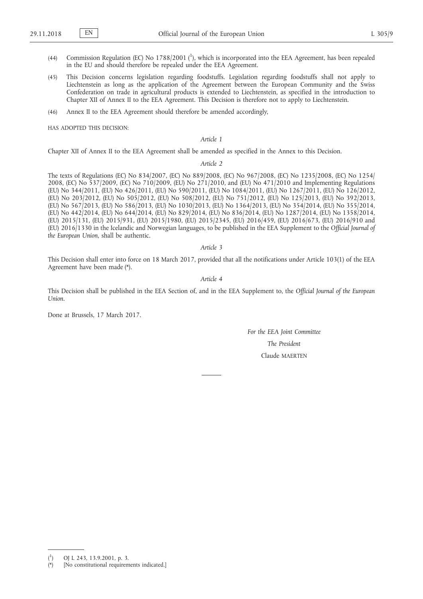- (44) Commission Regulation (EC) No 1788/2001 ( $^1$ ), which is incorporated into the EEA Agreement, has been repealed in the EU and should therefore be repealed under the EEA Agreement.
- (45) This Decision concerns legislation regarding foodstuffs. Legislation regarding foodstuffs shall not apply to Liechtenstein as long as the application of the Agreement between the European Community and the Swiss Confederation on trade in agricultural products is extended to Liechtenstein, as specified in the introduction to Chapter XII of Annex II to the EEA Agreement. This Decision is therefore not to apply to Liechtenstein.
- (46) Annex II to the EEA Agreement should therefore be amended accordingly,

HAS ADOPTED THIS DECISION:

*Article 1*

Chapter XII of Annex II to the EEA Agreement shall be amended as specified in the Annex to this Decision.

*Article 2*

The texts of Regulations (EC) No 834/2007, (EC) No 889/2008, (EC) No 967/2008, (EC) No 1235/2008, (EC) No 1254/ 2008, (EC) No 537/2009, (EC) No 710/2009, (EU) No 271/2010, and (EU) No 471/2010 and Implementing Regulations (EU) No 344/2011, (EU) No 426/2011, (EU) No 590/2011, (EU) No 1084/2011, (EU) No 1267/2011, (EU) No 126/2012, (EU) No 203/2012, (EU) No 505/2012, (EU) No 508/2012, (EU) No 751/2012, (EU) No 125/2013, (EU) No 392/2013, (EU) No 567/2013, (EU) No 586/2013, (EU) No 1030/2013, (EU) No 1364/2013, (EU) No 354/2014, (EU) No 355/2014, (EU) No 442/2014, (EU) No 644/2014, (EU) No 829/2014, (EU) No 836/2014, (EU) No 1287/2014, (EU) No 1358/2014, (EU) 2015/131, (EU) 2015/931, (EU) 2015/1980, (EU) 2015/2345, (EU) 2016/459, (EU) 2016/673, (EU) 2016/910 and (EU) 2016/1330 in the Icelandic and Norwegian languages, to be published in the EEA Supplement to the *Official Journal of the European Union*, shall be authentic.

### *Article 3*

This Decision shall enter into force on 18 March 2017, provided that all the notifications under Article 103(1) of the EEA Agreement have been made (\*).

*Article 4*

This Decision shall be published in the EEA Section of, and in the EEA Supplement to, the *Official Journal of the European Union*.

Done at Brussels, 17 March 2017.

*For the EEA Joint Committee The President* Claude MAERTEN

 $($ <sup>1</sup> ) OJ L 243, 13.9.2001, p. 3.

<sup>(\*)</sup> [No constitutional requirements indicated.]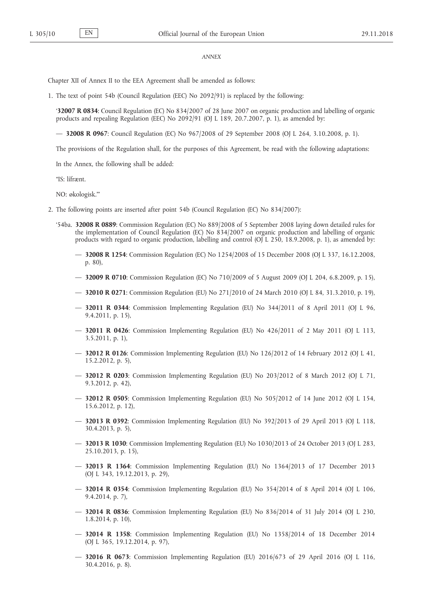#### *ANNEX*

Chapter XII of Annex II to the EEA Agreement shall be amended as follows:

1. The text of point 54b (Council Regulation (EEC) No 2092/91) is replaced by the following:

'**32007 R 0834**: Council Regulation (EC) No 834/2007 of 28 June 2007 on organic production and labelling of organic products and repealing Regulation (EEC) No 2092/91 (OJ L 189, 20.7.2007, p. 1), as amended by:

— **32008 R 0967**: Council Regulation (EC) No 967/2008 of 29 September 2008 (OJ L 264, 3.10.2008, p. 1).

The provisions of the Regulation shall, for the purposes of this Agreement, be read with the following adaptations:

In the Annex, the following shall be added:

"IS: lífrænt.

NO: økologisk."'

- 2. The following points are inserted after point 54b (Council Regulation (EC) No 834/2007):
	- '54ba. **32008 R 0889**: Commission Regulation (EC) No 889/2008 of 5 September 2008 laying down detailed rules for the implementation of Council Regulation (EC) No 834/2007 on organic production and labelling of organic products with regard to organic production, labelling and control (OJ L 250, 18.9.2008, p. 1), as amended by:
		- **32008 R 1254**: Commission Regulation (EC) No 1254/2008 of 15 December 2008 (OJ L 337, 16.12.2008, p. 80),
		- **32009 R 0710**: Commission Regulation (EC) No 710/2009 of 5 August 2009 (OJ L 204, 6.8.2009, p. 15),
		- **32010 R 0271**: Commission Regulation (EU) No 271/2010 of 24 March 2010 (OJ L 84, 31.3.2010, p. 19),
		- **32011 R 0344**: Commission Implementing Regulation (EU) No 344/2011 of 8 April 2011 (OJ L 96, 9.4.2011, p. 15),
		- **32011 R 0426**: Commission Implementing Regulation (EU) No 426/2011 of 2 May 2011 (OJ L 113, 3.5.2011, p. 1),
		- **32012 R 0126**: Commission Implementing Regulation (EU) No 126/2012 of 14 February 2012 (OJ L 41, 15.2.2012, p. 5),
		- **32012 R 0203**: Commission Implementing Regulation (EU) No 203/2012 of 8 March 2012 (OJ L 71, 9.3.2012, p. 42),
		- **32012 R 0505**: Commission Implementing Regulation (EU) No 505/2012 of 14 June 2012 (OJ L 154, 15.6.2012, p. 12),
		- **32013 R 0392**: Commission Implementing Regulation (EU) No 392/2013 of 29 April 2013 (OJ L 118, 30.4.2013, p. 5),
		- **32013 R 1030**: Commission Implementing Regulation (EU) No 1030/2013 of 24 October 2013 (OJ L 283, 25.10.2013, p. 15),
		- **32013 R 1364**: Commission Implementing Regulation (EU) No 1364/2013 of 17 December 2013 (OJ L 343, 19.12.2013, p. 29),
		- **32014 R 0354**: Commission Implementing Regulation (EU) No 354/2014 of 8 April 2014 (OJ L 106, 9.4.2014, p. 7),
		- **32014 R 0836**: Commission Implementing Regulation (EU) No 836/2014 of 31 July 2014 (OJ L 230, 1.8.2014, p. 10),
		- **32014 R 1358**: Commission Implementing Regulation (EU) No 1358/2014 of 18 December 2014 (OJ L 365, 19.12.2014, p. 97),
		- **32016 R 0673**: Commission Implementing Regulation (EU) 2016/673 of 29 April 2016 (OJ L 116, 30.4.2016, p. 8).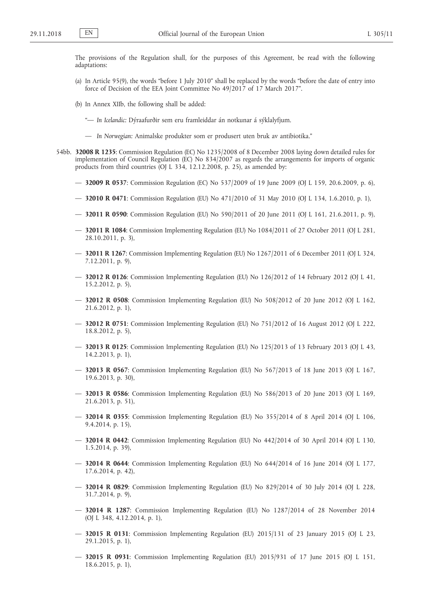The provisions of the Regulation shall, for the purposes of this Agreement, be read with the following adaptations:

- (a) In Article 95(9), the words "before 1 July 2010" shall be replaced by the words "before the date of entry into force of Decision of the EEA Joint Committee No 49/2017 of 17 March 2017".
- (b) In Annex XIIb, the following shall be added:
	- "— *In Icelandic:* Dýraafurðir sem eru framleiddar án notkunar á sýklalyfjum.
	- *In Norwegian:* Animalske produkter som er produsert uten bruk av antibiotika."
- 54bb. **32008 R 1235**: Commission Regulation (EC) No 1235/2008 of 8 December 2008 laying down detailed rules for implementation of Council Regulation (EC) No 834/2007 as regards the arrangements for imports of organic products from third countries (OJ L 334, 12.12.2008, p. 25), as amended by:
	- **32009 R 0537**: Commission Regulation (EC) No 537/2009 of 19 June 2009 (OJ L 159, 20.6.2009, p. 6),
	- **32010 R 0471**: Commission Regulation (EU) No 471/2010 of 31 May 2010 (OJ L 134, 1.6.2010, p. 1),
	- **32011 R 0590**: Commission Regulation (EU) No 590/2011 of 20 June 2011 (OJ L 161, 21.6.2011, p. 9),
	- **32011 R 1084**: Commission Implementing Regulation (EU) No 1084/2011 of 27 October 2011 (OJ L 281, 28.10.2011, p. 3),
	- **32011 R 1267**: Commission Implementing Regulation (EU) No 1267/2011 of 6 December 2011 (OJ L 324, 7.12.2011, p. 9),
	- **32012 R 0126**: Commission Implementing Regulation (EU) No 126/2012 of 14 February 2012 (OJ L 41, 15.2.2012, p. 5),
	- **32012 R 0508**: Commission Implementing Regulation (EU) No 508/2012 of 20 June 2012 (OJ L 162, 21.6.2012, p. 1),
	- **32012 R 0751**: Commission Implementing Regulation (EU) No 751/2012 of 16 August 2012 (OJ L 222, 18.8.2012, p. 5),
	- **32013 R 0125**: Commission Implementing Regulation (EU) No 125/2013 of 13 February 2013 (OJ L 43, 14.2.2013, p. 1),
	- **32013 R 0567**: Commission Implementing Regulation (EU) No 567/2013 of 18 June 2013 (OJ L 167, 19.6.2013, p. 30),
	- **32013 R 0586**: Commission Implementing Regulation (EU) No 586/2013 of 20 June 2013 (OJ L 169, 21.6.2013, p. 51),
	- **32014 R 0355**: Commission Implementing Regulation (EU) No 355/2014 of 8 April 2014 (OJ L 106, 9.4.2014, p. 15),
	- **32014 R 0442**: Commission Implementing Regulation (EU) No 442/2014 of 30 April 2014 (OJ L 130, 1.5.2014, p. 39),
	- **32014 R 0644**: Commission Implementing Regulation (EU) No 644/2014 of 16 June 2014 (OJ L 177, 17.6.2014, p. 42),
	- **32014 R 0829**: Commission Implementing Regulation (EU) No 829/2014 of 30 July 2014 (OJ L 228, 31.7.2014, p. 9),
	- **32014 R 1287**: Commission Implementing Regulation (EU) No 1287/2014 of 28 November 2014 (OJ L 348, 4.12.2014, p. 1),
	- **32015 R 0131**: Commission Implementing Regulation (EU) 2015/131 of 23 January 2015 (OJ L 23, 29.1.2015, p. 1),
	- **32015 R 0931**: Commission Implementing Regulation (EU) 2015/931 of 17 June 2015 (OJ L 151, 18.6.2015, p. 1),